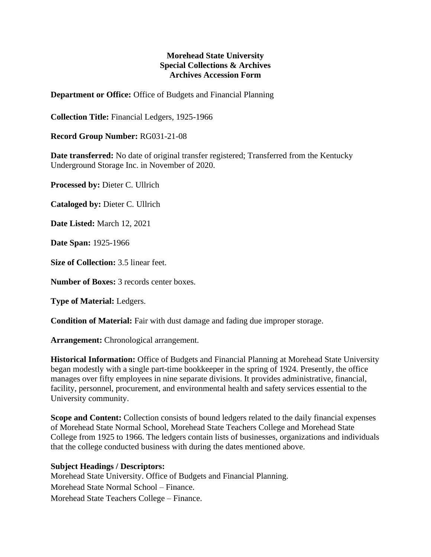## **Morehead State University Special Collections & Archives Archives Accession Form**

**Department or Office:** Office of Budgets and Financial Planning

**Collection Title:** Financial Ledgers, 1925-1966

**Record Group Number:** RG031-21-08

**Date transferred:** No date of original transfer registered; Transferred from the Kentucky Underground Storage Inc. in November of 2020.

**Processed by:** Dieter C. Ullrich

**Cataloged by:** Dieter C. Ullrich

**Date Listed:** March 12, 2021

**Date Span:** 1925-1966

**Size of Collection:** 3.5 linear feet.

**Number of Boxes:** 3 records center boxes.

**Type of Material:** Ledgers.

**Condition of Material:** Fair with dust damage and fading due improper storage.

**Arrangement:** Chronological arrangement.

**Historical Information:** Office of Budgets and Financial Planning at Morehead State University began modestly with a single part-time bookkeeper in the spring of 1924. Presently, the office manages over fifty employees in nine separate divisions. It provides administrative, financial, facility, personnel, procurement, and environmental health and safety services essential to the University community.

**Scope and Content:** Collection consists of bound ledgers related to the daily financial expenses of Morehead State Normal School, Morehead State Teachers College and Morehead State College from 1925 to 1966. The ledgers contain lists of businesses, organizations and individuals that the college conducted business with during the dates mentioned above.

## **Subject Headings / Descriptors:**

Morehead State University. Office of Budgets and Financial Planning. Morehead State Normal School – Finance. Morehead State Teachers College – Finance.